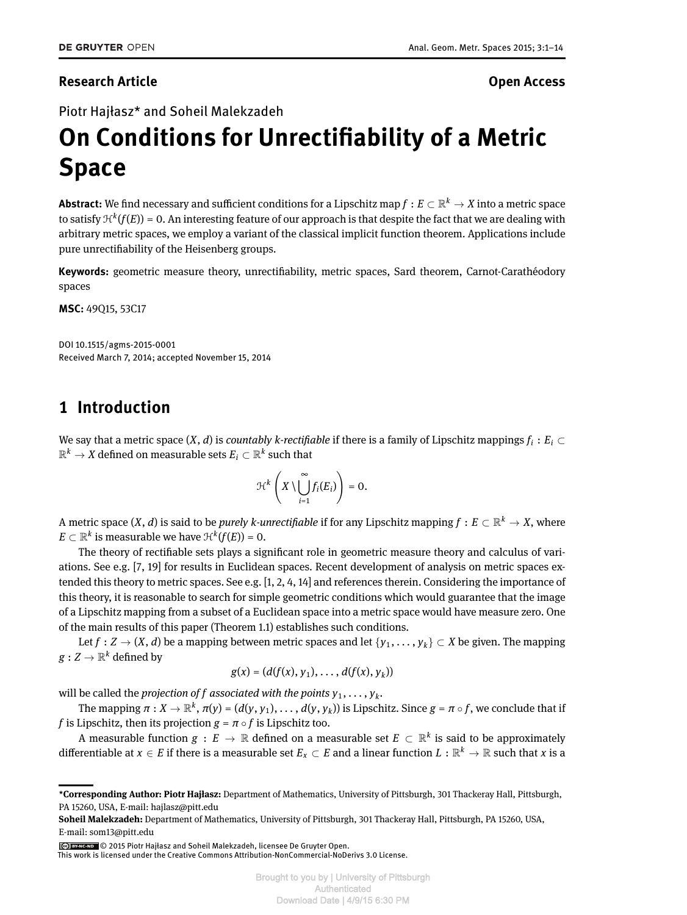#### <span id="page-0-0"></span>**Research Article Open Access**

Piotr Hajłasz\* and Soheil Malekzadeh

# **On Conditions for Unrectiability of a Metric Space**

 ${\sf Abstract}\colon$  We find necessary and sufficient conditions for a Lipschitz map  $f:E\subset\mathbb{R}^k\to X$  into a metric space to satisfy  $\mathfrak{H}^k(f(E))$  = 0. An interesting feature of our approach is that despite the fact that we are dealing with arbitrary metric spaces, we employ a variant of the classical implicit function theorem. Applications include pure unrectiability of the Heisenberg groups.

**Keywords:** geometric measure theory, unrectiability, metric spaces, Sard theorem, Carnot-Carathéodory spaces

**MSC:** 49Q15, 53C17

DOI 10.1515/agms-2015-0001 Received March 7, 2014; accepted November 15, 2014

#### **1 Introduction**

We say that a metric space  $(X,d)$  is *countably k-rectifiable* if there is a family of Lipschitz mappings  $f_i:E_i\subset$  $\mathbb{R}^k \rightarrow X$  defined on measurable sets  $E_i \subset \mathbb{R}^k$  such that

$$
\mathcal{H}^k\left(X\setminus\bigcup_{i=1}^\infty f_i(E_i)\right)=0.
$$

A metric space  $(X,d)$  is said to be *purely k-unrectifiable* if for any Lipschitz mapping  $f:E\subset\mathbb{R}^k\to X$ , where  $E \subset \mathbb{R}^k$  is measurable we have  $\mathfrak{H}^k(f(E)) = 0.$ 

The theory of rectifiable sets plays a significant role in geometric measure theory and calculus of variations. See e.g. [\[7,](#page-13-1) [19\]](#page-13-2) for results in Euclidean spaces. Recent development of analysis on metric spaces extended this theory to metric spaces. See e.g. [\[1,](#page-13-3) [2,](#page-13-4) [4,](#page-13-5) [14\]](#page-13-6) and references therein. Considering the importance of this theory, it is reasonable to search for simple geometric conditions which would guarantee that the image of a Lipschitz mapping from a subset of a Euclidean space into a metric space would have measure zero. One of the main results of this paper (Theorem [1.1\)](#page-1-0) establishes such conditions.

Let  $f: Z \to (X, d)$  be a mapping between metric spaces and let  $\{y_1, \ldots, y_k\} \subset X$  be given. The mapping  $g: Z \rightarrow \mathbb{R}^k$  defined by

$$
g(x) = (d(f(x), y_1), \ldots, d(f(x), y_k))
$$

will be called the *projection of*  $f$  *associated with the points*  $y_1, \ldots, y_k$ *.* 

The mapping  $\pi:X\to\mathbb{R}^k$  ,  $\pi(y)=(d(y,y_1),\ldots,d(y,y_k))$  is Lipschitz. Since  $g=\pi\circ f$  , we conclude that if *f* is Lipschitz, then its projection  $g = \pi \circ f$  is Lipschitz too.

A measurable function  $g\,:\,E\,\to\,\mathbb{R}$  defined on a measurable set  $E\,\subset\,\mathbb{R}^k$  is said to be approximately differentiable at  $x\in E$  if there is a measurable set  $E_x\subset E$  and a linear function  $L:\R^k\to\R$  such that  $x$  is a

© 2015 Piotr Hajłasz and Soheil Malekzadeh, licensee De Gruyter Open.

**<sup>\*</sup>Corresponding Author: Piotr Hajłasz:** Department of Mathematics, University of Pittsburgh, 301 Thackeray Hall, Pittsburgh, PA 15260, USA, E-mail: hajlasz@pitt.edu

**Soheil Malekzadeh:** Department of Mathematics, University of Pittsburgh, 301 Thackeray Hall, Pittsburgh, PA 15260, USA, E-mail: som13@pitt.edu

This work is licensed under the Creative Commons Attribution-NonCommercial-NoDerivs 3.0 License.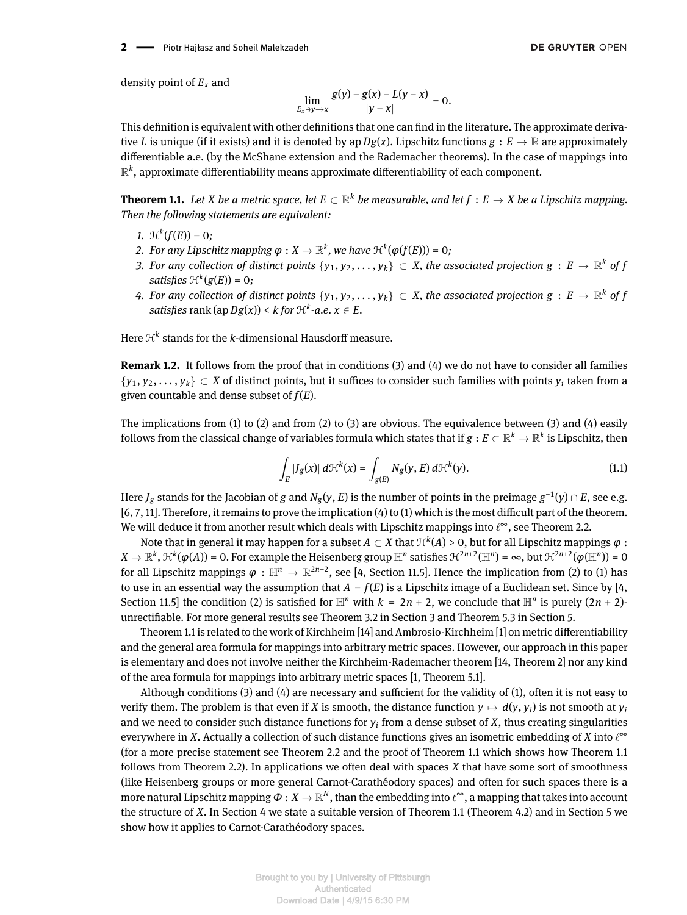**2** - Piotr Hajłasz and Soheil Malekzadeh

density point of *E<sup>x</sup>* and

$$
\lim_{E_x \ni y \to x} \frac{g(y) - g(x) - L(y - x)}{|y - x|} = 0.
$$

This definition is equivalent with other definitions that one can find in the literature. The approximate derivative *L* is unique (if it exists) and it is denoted by ap  $Dg(x)$ . Lipschitz functions  $g: E \to \mathbb{R}$  are approximately differentiable a.e. (by the McShane extension and the Rademacher theorems). In the case of mappings into  $\mathbb{R}^k$ , approximate differentiability means approximate differentiability of each component.

<span id="page-1-0"></span>**Theorem 1.1.** Let  $X$  be a metric space, let  $E\subset\mathbb{R}^k$  be measurable, and let  $f:E\to X$  be a Lipschitz mapping. *Then the following statements are equivalent:*

- *1.*  $\mathcal{H}^k(f(E)) = 0;$
- 2. *For any Lipschitz mapping*  $\varphi: X \to \mathbb{R}^k$ *, we have*  $\mathfrak{H}^k(\varphi(f(E))) = 0$ *;*
- *3. For any collection of distinct points*  $\{y_1,y_2,\ldots,y_k\} \subset X$ , *the associated projection g* :  $E \to \mathbb{R}^k$  *of f satisfies*  $\mathfrak{H}^k(g(E)) = 0$ ;
- 4. For any collection of distinct points  $\{y_1,y_2,\ldots,y_k\} \subset X$ , the associated projection  $g\,:\,E\,\to\,\mathbb{R}^k$  of f  $satisfies$   $\text{rank}\left(\text{ap}\, Dg(x)\right) < k$  for  $\mathcal{H}^k\text{-}a.e.\, x\in E.$

Here  $\mathfrak{R}^k$  stands for the *k*-dimensional Hausdorff measure.

**Remark 1.2.** It follows from the proof that in conditions (3) and (4) we do not have to consider all families  $\{y_1, y_2, \ldots, y_k\} \subset X$  of distinct points, but it suffices to consider such families with points  $y_i$  taken from a given countable and dense subset of *f*(*E*).

<span id="page-1-1"></span>The implications from (1) to (2) and from (2) to (3) are obvious. The equivalence between (3) and (4) easily follows from the classical change of variables formula which states that if  $g:E\subset\R^k\to\R^k$  is Lipschitz, then

$$
\int_{E} |J_{g}(x)| d\mathcal{H}^{k}(x) = \int_{g(E)} N_{g}(y, E) d\mathcal{H}^{k}(y).
$$
\n(1.1)

Here  $J_g$  stands for the Jacobian of  $g$  and  $N_g(y,E)$  is the number of points in the preimage  $g^{-1}(y)\cap E,$  see e.g.  $[6, 7, 11]$  $[6, 7, 11]$  $[6, 7, 11]$ . Therefore, it remains to prove the implication  $(4)$  to  $(1)$  which is the most difficult part of the theorem. We will deduce it from another result which deals with Lipschitz mappings into  $\ell^\infty$ , see Theorem [2.2.](#page-3-0)

Note that in general it may happen for a subset  $A\subset X$  that  $\mathfrak{R}^k(A)$  > 0, but for all Lipschitz mappings  $\varphi$  :  $X\to \mathbb{R}^k,$   $\mathfrak{H}^k(\pmb{\varphi}(A))$  = 0. For example the Heisenberg group  $\mathbb{H}^n$  satisfies  $\mathfrak{H}^{2n+2}(\mathbb{H}^n)$  =  $\infty$ , but  $\mathfrak{H}^{2n+2}(\pmb{\varphi}(\mathbb{H}^n))$  =  $0$ for all Lipschitz mappings  $\varphi\,:\,\mathbb H^n\to\mathbb R^{2n+2},$  see [\[4,](#page-13-5) Section 11.5]. Hence the implication from (2) to (1) has to use in an essential way the assumption that  $A = f(E)$  is a Lipschitz image of a Euclidean set. Since by [\[4,](#page-13-5) Section 11.5] the condition (2) is satisfied for  $\mathbb{H}^n$  with  $k = 2n + 2$ , we conclude that  $\mathbb{H}^n$  is purely  $(2n + 2)$ unrectiable. For more general results see Theorem [3.2](#page-8-0) in Section [3](#page-7-0) and Theorem [5.3](#page-12-0) in Section [5.](#page-11-0)

Theorem [1.1](#page-1-0) is related to the work of Kirchheim  $[14]$  and Ambrosio-Kirchheim  $[1]$  on metric differentiability and the general area formula for mappings into arbitrary metric spaces. However, our approach in this paper is elementary and does not involve neither the Kirchheim-Rademacher theorem [\[14,](#page-13-6) Theorem 2] nor any kind of the area formula for mappings into arbitrary metric spaces [\[1,](#page-13-3) Theorem 5.1].

Although conditions  $(3)$  and  $(4)$  are necessary and sufficient for the validity of  $(1)$ , often it is not easy to verify them. The problem is that even if *X* is smooth, the distance function  $y\mapsto d(y,y_i)$  is not smooth at  $y_i$ and we need to consider such distance functions for  $y_i$  from a dense subset of  $X$ , thus creating singularities everywhere in *X*. Actually a collection of such distance functions gives an isometric embedding of *X* into  $\ell^{\infty}$ (for a more precise statement see Theorem [2.2](#page-3-0) and the proof of Theorem [1.1](#page-1-0) which shows how Theorem [1.1](#page-1-0) follows from Theorem [2.2\)](#page-3-0). In applications we often deal with spaces *X* that have some sort of smoothness (like Heisenberg groups or more general Carnot-Carathéodory spaces) and often for such spaces there is a more natural Lipschitz mapping  $\varPhi:X\to \R^N,$  than the embedding into  $\ell^\infty$ , a mapping that takes into account the structure of *X*. In Section [4](#page-8-1) we state a suitable version of Theorem [1.1](#page-1-0) (Theorem [4.2\)](#page-8-2) and in Section [5](#page-11-0) we show how it applies to Carnot-Carathéodory spaces.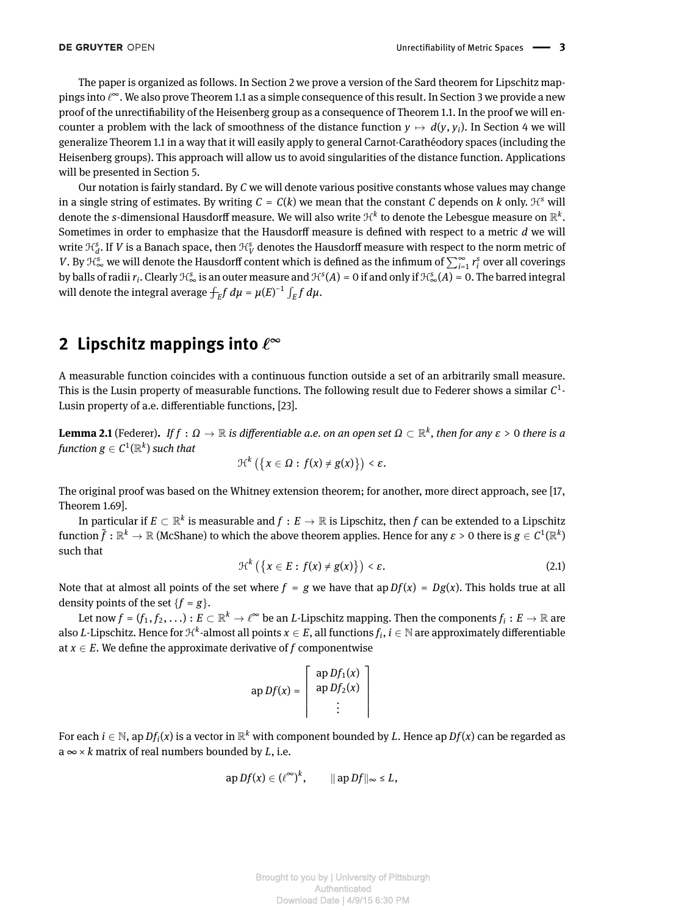The paper is organized as follows. In Section [2](#page-2-0) we prove a version of the Sard theorem for Lipschitz mappings into  $\ell^\infty$ . We also prove Theorem [1.1](#page-1-0) as a simple consequence of this result. In Section [3](#page-7-0) we provide a new proof of the unrectiability of the Heisenberg group as a consequence of Theorem [1.1.](#page-1-0) In the proof we will encounter a problem with the lack of smoothness of the distance function  $y \mapsto d(y, y_i)$ . In Section [4](#page-8-1) we will generalize Theorem [1.1](#page-1-0) in a way that it will easily apply to general Carnot-Carathéodory spaces (including the Heisenberg groups). This approach will allow us to avoid singularities of the distance function. Applications will be presented in Section [5.](#page-11-0)

Our notation is fairly standard. By *C* we will denote various positive constants whose values may change in a single string of estimates. By writing  $C = C(k)$  we mean that the constant *C* depends on *k* only.  $H<sup>s</sup>$  will denote the  $s$ -dimensional Hausdorff measure. We will also write  $\mathcal{H}^k$  to denote the Lebesgue measure on  $\mathbb{R}^k.$ Sometimes in order to emphasize that the Hausdorff measure is defined with respect to a metric d we will write  $\mathcal{H}_d^s$ . If  $V$  is a Banach space, then  $\mathcal{H}_V^s$  denotes the Hausdorff measure with respect to the norm metric of *V*. By  $\mathcal{H}^s_\infty$  we will denote the Hausdorff content which is defined as the infimum of  $\sum_{i=1}^\infty r_i^s$  over all coverings by balls of radii  $r_i$ . Clearly  $H^s_\infty$  is an outer measure and  $H^s(A) = 0$  if and only if  $H^s_\infty(A) = 0$ . The barred integral will denote the integral average  $\int_E f \, d\mu = \mu(E)^{-1} \int_E f \, d\mu$ .

# <span id="page-2-0"></span>2 Lipschitz mappings into  $\ell^{\infty}$

A measurable function coincides with a continuous function outside a set of an arbitrarily small measure. This is the Lusin property of measurable functions. The following result due to Federer shows a similar  $\mathcal{C}^1$ -Lusin property of a.e. differentiable functions, [\[23\]](#page-13-9).

 $\bf{Lemma 2.1}$  (Federer). If  $f:\Omega\to\mathbb{R}$  is differentiable a.e. on an open set  $\Omega\subset\mathbb{R}^k$ , then for any  $\varepsilon>0$  there is a  $\emph{function} \ \emph{g} \in \mathcal{C}^1(\mathbb{R}^k)$  such that

$$
\mathcal{H}^k\left(\left\{x\in\Omega:f(x)\neq g(x)\right\}\right)\leq\varepsilon.
$$

The original proof was based on the Whitney extension theorem; for another, more direct approach, see [\[17,](#page-13-10) Theorem 1.69].

<span id="page-2-1"></span>In particular if  $E\subset\mathbb{R}^k$  is measurable and  $f:E\to\mathbb{R}$  is Lipschitz, then  $f$  can be extended to a Lipschitz  $f$ unction  $\tilde f:\R^k\to\R$  (McShane) to which the above theorem applies. Hence for any  $\varepsilon>0$  there is  $g\in C^1(\R^k)$ such that

$$
\mathcal{H}^{k}\left(\left\{x \in E : f(x) \neq g(x)\right\}\right) < \varepsilon. \tag{2.1}
$$

Note that at almost all points of the set where  $f = g$  we have that ap  $Df(x) = Dg(x)$ . This holds true at all density points of the set  ${f = g}$ .

Let now  $f=(f_1,f_2,\ldots):E\subset\mathbb{R}^k\to\ell^\infty$  be an  $L$ -Lipschitz mapping. Then the components  $f_i:E\to\mathbb{R}$  are also *L-*Lipschitz. Hence for  $\mathfrak{H}^k$ -almost all points  $x\in E$ , all functions  $f_i,$   $i\in\mathbb{N}$  are approximately differentiable at  $x \in E$ . We define the approximate derivative of  $f$  componentwise

$$
\text{ap }Df(x) = \left[ \begin{array}{c} \text{ap }Df_1(x) \\ \text{ap }Df_2(x) \\ \vdots \end{array} \right]
$$

For each  $i\in\mathbb{N}$ , ap  $Df_i(x)$  is a vector in  $\mathbb{R}^k$  with component bounded by  $L.$  Hence ap  $Df(x)$  can be regarded as  $a \infty \times k$  matrix of real numbers bounded by *L*, i.e.

$$
\mathrm{ap}\,Df(x)\in (\ell^\infty)^k,\qquad \|\mathrm{ap}\,Df\|_\infty\leq L,
$$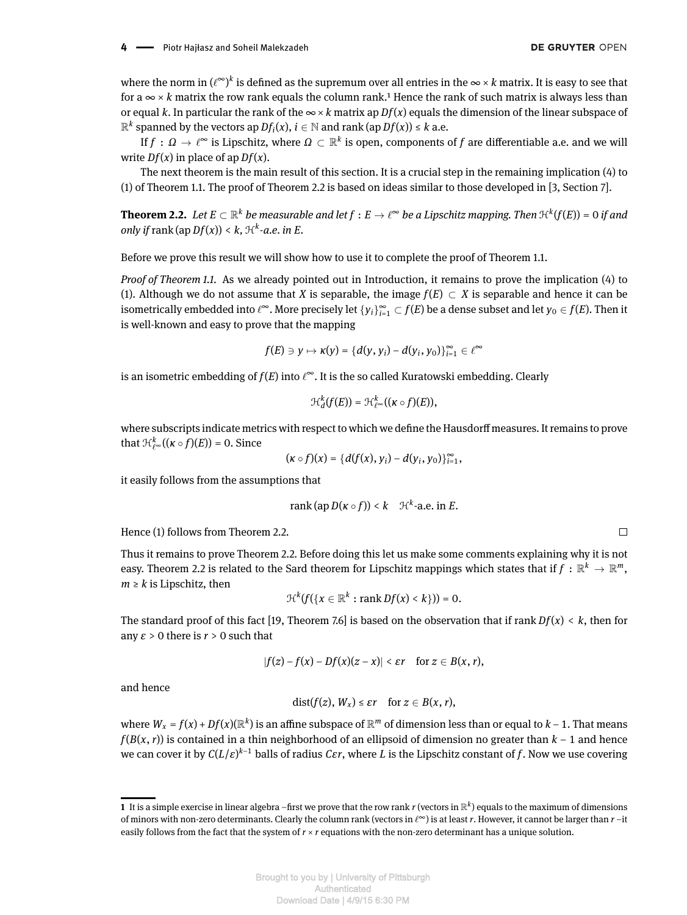where the norm in  $(\ell^\infty)^k$  is defined as the supremum over all entries in the  $\infty \times k$  matrix. It is easy to see that for a  $\infty \times k$  matrix the row rank equals the column rank.<sup>1</sup> Hence the rank of such matrix is always less than or equal *k*. In particular the rank of the  $\infty \times k$  matrix ap  $Df(x)$  equals the dimension of the linear subspace of  $\mathbb{R}^k$  spanned by the vectors ap  $Df_i(x)$ ,  $i \in \mathbb{N}$  and rank (ap  $Df(x)) \leq k$  a.e.

If  $f:\,\Omega\to\ell^\infty$  is Lipschitz, where  $\Omega\subset\mathbb R^k$  is open, components of  $f$  are differentiable a.e. and we will write  $Df(x)$  in place of ap  $Df(x)$ .

The next theorem is the main result of this section. It is a crucial step in the remaining implication (4) to (1) of Theorem [1.1.](#page-1-0) The proof of Theorem [2.2](#page-3-0) is based on ideas similar to those developed in [\[3,](#page-13-11) Section 7].

<span id="page-3-0"></span>**Theorem 2.2.** Let  $E\subset\mathbb{R}^k$  be measurable and let  $f:E\to\ell^\infty$  be a Lipschitz mapping. Then  $\mathfrak{H}^k(f(E))=0$  if and *only if* rank (ap  $Df(x)$ ) < k,  $\mathcal{H}^k$ -a.e. in E.

Before we prove this result we will show how to use it to complete the proof of Theorem [1.1.](#page-1-0)

*Proof of Theorem [1.1.](#page-1-0)* As we already pointed out in Introduction, it remains to prove the implication (4) to (1). Although we do not assume that *X* is separable, the image  $f(E) \subset X$  is separable and hence it can be isometrically embedded into  $\ell^\infty$ . More precisely let  $\{y_i\}_{i=1}^\infty\subset f(E)$  be a dense subset and let  $y_0\in f(E)$ . Then it is well-known and easy to prove that the mapping

$$
f(E) \ni y \mapsto \kappa(y) = \{d(y, y_i) - d(y_i, y_0)\}_{i=1}^{\infty} \in \ell^{\infty}
$$

is an isometric embedding of  $f(E)$  into  $\ell^\infty.$  It is the so called Kuratowski embedding. Clearly

$$
\mathcal{H}^k_d(f(E))=\mathcal{H}^k_{\ell^{\infty}}((\kappa\circ f)(E)),
$$

where subscripts indicate metrics with respect to which we define the Hausdorff measures. It remains to prove that  $\mathcal{H}_{\ell^{\infty}}^{k}((\kappa \circ f)(E)) = 0$ . Since

$$
(\kappa \circ f)(x) = \{d(f(x), y_i) - d(y_i, y_0)\}_{i=1}^{\infty},
$$

it easily follows from the assumptions that

$$
rank(ap D(\kappa \circ f)) < k \quad \mathcal{H}^k\text{-a.e. in } E.
$$

Hence (1) follows from Theorem [2.2.](#page-3-0)

Thus it remains to prove Theorem [2.2.](#page-3-0) Before doing this let us make some comments explaining why it is not easy. Theorem [2.2](#page-3-0) is related to the Sard theorem for Lipschitz mappings which states that if  $f:\mathbb{R}^k\to\mathbb{R}^m,$  $m \geq k$  is Lipschitz, then

$$
\mathcal{H}^k(f(\{x\in\mathbb{R}^k:\operatorname{rank}Df(x)
$$

The standard proof of this fact [\[19,](#page-13-2) Theorem 7.6] is based on the observation that if rank *Df*(*x*) < *k*, then for any  $\varepsilon > 0$  there is  $r > 0$  such that

$$
|f(z)-f(x)-Df(x)(z-x)|<\varepsilon r\quad\text{for }z\in B(x,r),
$$

and hence

$$
dist(f(z), W_x) \leq \varepsilon r \quad \text{for } z \in B(x, r),
$$

where  $W_x$  =  $f(x)$  +  $Df(x)$ ( $\mathbb{R}^k$ ) is an affine subspace of  $\mathbb{R}^m$  of dimension less than or equal to  $k$  – 1. That means *f*(*B*(*x*, *r*)) is contained in a thin neighborhood of an ellipsoid of dimension no greater than *k* − 1 and hence we can cover it by *C*(*L*/*ε*) *<sup>k</sup>*−1 balls of radius *Cεr*, where *L* is the Lipschitz constant of *f*. Now we use covering

 $\bf 1\,$  It is a simple exercise in linear algebra –first we prove that the row rank  $r$  (vectors in  $\R^k$ ) equals to the maximum of dimensions of minors with non-zero determinants. Clearly the column rank (vectors in ℓ∞) is at least *r*. However, it cannot be larger than *r* –it easily follows from the fact that the system of  $r \times r$  equations with the non-zero determinant has a unique solution.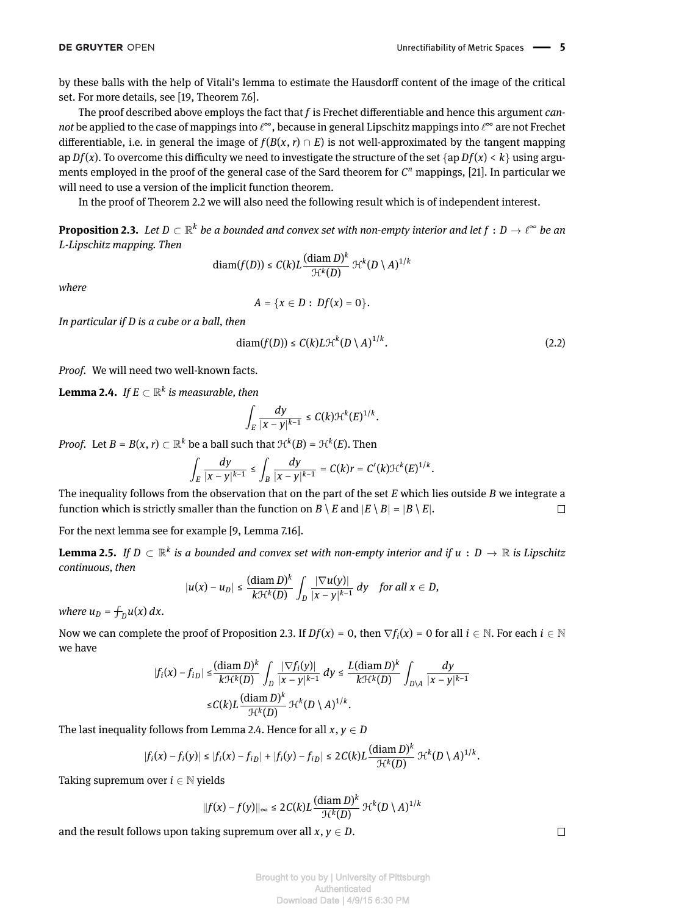by these balls with the help of Vitali's lemma to estimate the Hausdorff content of the image of the critical set. For more details, see [\[19,](#page-13-2) Theorem 7.6].

The proof described above employs the fact that *f* is Frechet differentiable and hence this argument *cannot* be applied to the case of mappings into  $\ell^\infty$ , because in general Lipschitz mappings into  $\ell^\infty$  are not Frechet differentiable, i.e. in general the image of  $f(B(x, r) \cap E)$  is not well-approximated by the tangent mapping ap  $Df(x)$ . To overcome this difficulty we need to investigate the structure of the set  $\{ap\ Df(x) < k\}$  using arguments employed in the proof of the general case of the Sard theorem for  $C<sup>n</sup>$  mappings, [\[21\]](#page-13-12). In particular we will need to use a version of the implicit function theorem.

In the proof of Theorem [2.2](#page-3-0) we will also need the following result which is of independent interest.

<span id="page-4-0"></span>**Proposition 2.3.** Let  $D\subset\mathbb{R}^k$  be a bounded and convex set with non-empty interior and let  $f:D\to\ell^\infty$  be an *L-Lipschitz mapping. Then*

$$
\text{diam}(f(D)) \leq C(k)L \frac{(\text{diam}\, D)^k}{\mathcal{H}^k(D)} \, \mathcal{H}^k(D \setminus A)^{1/k}
$$

*where*

<span id="page-4-2"></span>
$$
A = \{x \in D : Df(x) = 0\}.
$$

*In particular if D is a cube or a ball, then*

$$
diam(f(D)) \le C(k)L\mathcal{H}^k(D\setminus A)^{1/k}.
$$
 (2.2)

*Proof.* We will need two well-known facts.

<span id="page-4-1"></span> $\bf{Lemma \ 2.4.} \ \ If \ E \subset \mathbb{R}^k \ \ is \ measurable, \ then$ 

$$
\int_E \frac{dy}{|x-y|^{k-1}} \leq C(k) \mathcal{H}^k(E)^{1/k}.
$$

*Proof.* Let  $B = B(x, r) \subset \mathbb{R}^k$  be a ball such that  $\mathcal{H}^k(B) = \mathcal{H}^k(E)$ . Then

$$
\int_E \frac{dy}{|x-y|^{k-1}} \leq \int_B \frac{dy}{|x-y|^{k-1}} = C(k)r = C'(k)\mathcal{H}^k(E)^{1/k}.
$$

The inequality follows from the observation that on the part of the set *E* which lies outside *B* we integrate a function which is strictly smaller than the function on  $B \setminus E$  and  $|E \setminus B| = |B \setminus E|$ .  $\Box$ 

For the next lemma see for example [\[9,](#page-13-13) Lemma 7.16].

**Lemma 2.5.** If  $D \subset \mathbb{R}^k$  is a bounded and convex set with non-empty interior and if  $u : D \to \mathbb{R}$  is Lipschitz *continuous, then*

$$
|u(x)-u_D|\leq \frac{(\text{diam }D)^k}{k!\mathcal{H}^k(D)}\int_D\frac{|\nabla u(y)|}{|x-y|^{k-1}}\,dy\quad\text{for all }x\in D,
$$

*where*  $u_D = \int_D u(x) dx$ .

Now we can complete the proof of Proposition [2.3.](#page-4-0) If  $Df(x) = 0$ , then  $\nabla f_i(x) = 0$  for all  $i \in \mathbb{N}$ . For each  $i \in \mathbb{N}$ we have

$$
\begin{aligned} |f_i(x) - f_{iD}| &\leq \frac{(\operatorname{diam} D)^k}{k \mathcal{H}^k(D)} \int_D \frac{|\nabla f_i(y)|}{|x - y|^{k-1}} \, dy \leq \frac{L(\operatorname{diam} D)^k}{k \mathcal{H}^k(D)} \int_{D \setminus A} \frac{dy}{|x - y|^{k-1}} \\ &\leq C(k) L \frac{(\operatorname{diam} D)^k}{\mathcal{H}^k(D)} \, \mathcal{H}^k(D \setminus A)^{1/k} .\end{aligned}
$$

The last inequality follows from Lemma [2.4.](#page-4-1) Hence for all  $x, y \in D$ 

$$
|f_i(x) - f_i(y)| \leq |f_i(x) - f_{iD}| + |f_i(y) - f_{iD}| \leq 2C(k)L \frac{(\text{diam}\,D)^k}{\mathcal{H}^k(D)} \mathcal{H}^k(D\setminus A)^{1/k}.
$$

Taking supremum over  $i \in \mathbb{N}$  yields

$$
||f(x)-f(y)||_{\infty} \leq 2C(k)L \frac{(\text{diam }D)^{k}}{\mathcal{H}^{k}(D)} \mathcal{H}^{k}(D\setminus A)^{1/k}
$$

and the result follows upon taking supremum over all  $x, y \in D$ .

 $\Box$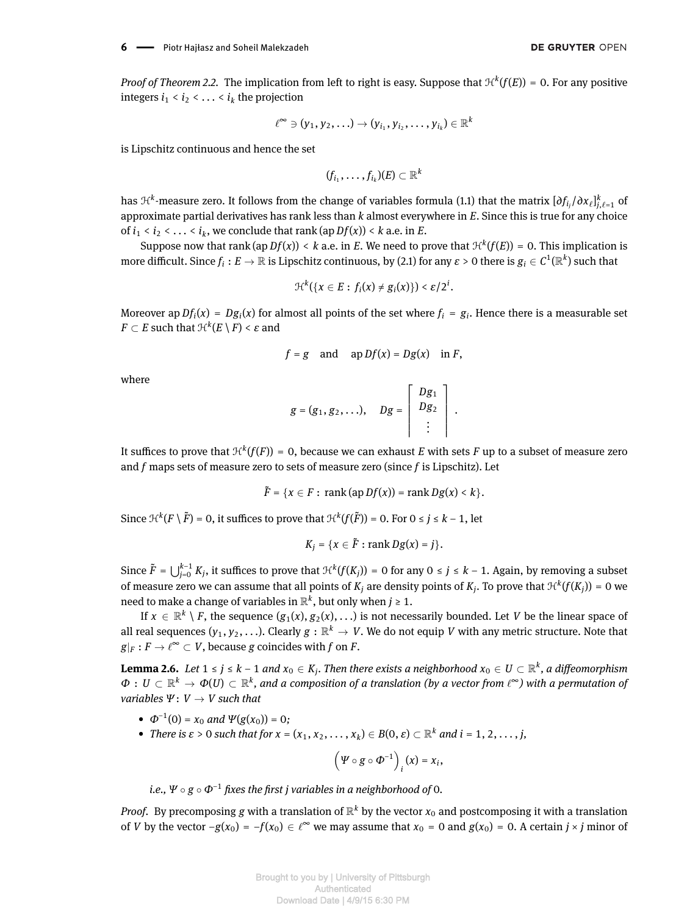*Proof of Theorem [2.2.](#page-3-0)* The implication from left to right is easy. Suppose that  $\mathcal{H}^k(f(E))$  = 0. For any positive integers  $i_1 < i_2 < \ldots < i_k$  the projection

$$
\ell^{\infty} \ni (y_1, y_2, \ldots) \to (y_{i_1}, y_{i_2}, \ldots, y_{i_k}) \in \mathbb{R}^k
$$

is Lipschitz continuous and hence the set

$$
(f_{i_1},\ldots,f_{i_k})(E)\subset\mathbb{R}^k
$$

has  $\mathcal{H}^k$ -measure zero. It follows from the change of variables formula [\(1.1\)](#page-1-1) that the matrix  $[\partial f_{i_j}/\partial x_\ell]_{j,\ell=1}^k$  of approximate partial derivatives has rank less than *k* almost everywhere in *E*. Since this is true for any choice of  $i_1 < i_2 < \ldots < i_k$ , we conclude that rank (ap  $Df(x)$ ) < k a.e. in E.

Suppose now that rank (ap  $Df(x)$ ) < k a.e. in E. We need to prove that  $\mathcal{H}^k(f(E)) = 0$ . This implication is more difficult. Since  $f_i:E\to\mathbb{R}$  is Lipschitz continuous, by [\(2.1\)](#page-2-1) for any  $\varepsilon>0$  there is  $g_i\in C^1(\mathbb{R}^k)$  such that

$$
\mathcal{H}^k(\{x \in E : f_i(x) \neq g_i(x)\}) < \varepsilon/2^i.
$$

Moreover ap  $Df_i(x) = Dg_i(x)$  for almost all points of the set where  $f_i = g_i$ . Hence there is a measurable set  $F \subset E$  such that  $\mathfrak{H}^k(E \setminus F) < \varepsilon$  and

$$
f = g
$$
 and  $ap Df(x) = Dg(x)$  in F,

where

$$
g = (g_1, g_2, \ldots), \quad Dg = \left[ \begin{array}{c} Dg_1 \\ Dg_2 \\ \vdots \end{array} \right].
$$

It suffices to prove that  $\mathfrak{R}^k(f(F)) = 0,$  because we can exhaust  $E$  with sets  $F$  up to a subset of measure zero and *f* maps sets of measure zero to sets of measure zero (since *f* is Lipschitz). Let

$$
\tilde{F} = \{x \in F : \text{rank}(\text{ap }Df(x)) = \text{rank }Dg(x) < k\}.
$$

Since  $\mathcal{H}^k(F \setminus \tilde{F}) = 0$ , it suffices to prove that  $\mathcal{H}^k(f(\tilde{F})) = 0$ . For  $0 \le j \le k - 1$ , let

$$
K_j = \{x \in \tilde{F} : \text{rank} Dg(x) = j\}.
$$

Since  $\tilde{F} = \bigcup_{j=0}^{k-1} K_j$ , it suffices to prove that  $\mathcal{H}^k(f(K_j)) = 0$  for any  $0 \le j \le k-1$ . Again, by removing a subset of measure zero we can assume that all points of  $K_j$  are density points of  $K_j$ . To prove that  $\mathcal{H}^k(f(K_j)) = 0$  we need to make a change of variables in  $\mathbb{R}^k$ , but only when  $j \geq 1$ .

If  $x \in \mathbb{R}^k \setminus F$ , the sequence  $(g_1(x), g_2(x), \ldots)$  is not necessarily bounded. Let *V* be the linear space of all real sequences (y<sub>1</sub>, y<sub>2</sub>, . . .). Clearly  $g:\R^k\to V.$  We do not equip  $V$  with any metric structure. Note that  $g|_F : F \to \ell^\infty \subset V$ , because  $g$  coincides with  $f$  on  $F$ .

<span id="page-5-0"></span>**Lemma 2.6.** Let 1 ≤ j ≤ k − 1 and  $x_0 \in K_j$ . Then there exists a neighborhood  $x_0 \in U \subset \mathbb{R}^k$ , a diffeomorphism  $\Phi:U\subset\mathbb{R}^k\to\varPhi(U)\subset\mathbb{R}^k,$  and a composition of a translation (by a vector from  $\ell^\infty$ ) with a permutation of *variables*  $\Psi: V \rightarrow V$  *such that* 

- $\Phi^{-1}(0) = x_0$  *and*  $\Psi(g(x_0)) = 0$ ;
- *There is*  $\varepsilon > 0$  *such that for*  $x = (x_1, x_2, \ldots, x_k) \in B(0, \varepsilon) \subset \mathbb{R}^k$  *and*  $i = 1, 2, \ldots, j$ ,

$$
\left(\Psi\circ g\circ\Phi^{-1}\right)_i(x)=x_i,
$$

i.e.,  $\Psi \circ g \circ \varPhi^{-1}$  fixes the first  $j$  variables in a neighborhood of 0.

*Proof.* By precomposing  $g$  with a translation of  $\R^k$  by the vector  $x_0$  and postcomposing it with a translation of *V* by the vector  $-g(x_0) = -f(x_0) \in \ell^{\infty}$  we may assume that  $x_0 = 0$  and  $g(x_0) = 0$ . A certain *j* × *j* minor of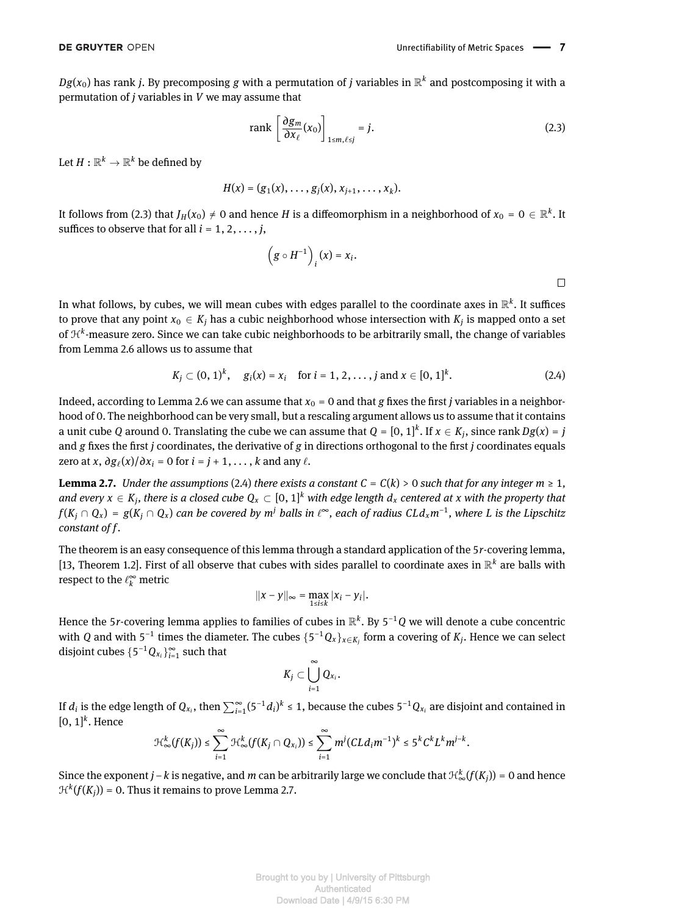$Dg(x_0)$  has rank *j*. By precomposing  $g$  with a permutation of  $j$  variables in  $\mathbb{R}^k$  and postcomposing it with a permutation of *j* variables in *V* we may assume that

<span id="page-6-0"></span>
$$
\text{rank}\left[\frac{\partial g_m}{\partial x_\ell}(x_0)\right]_{1 \le m,\ell \le j} = j. \tag{2.3}
$$

Let  $H:\mathbb{R}^k\rightarrow\mathbb{R}^k$  be defined by

$$
H(x) = (g_1(x), \ldots, g_j(x), x_{j+1}, \ldots, x_k).
$$

It follows from [\(2.3\)](#page-6-0) that  $J_H(x_0) \neq 0$  and hence *H* is a diffeomorphism in a neighborhood of  $x_0 = 0 \in \mathbb{R}^k$ . It suffices to observe that for all  $i = 1, 2, \ldots, j$ ,

$$
(g \circ H^{-1})_i(x) = x_i.
$$

In what follows, by cubes, we will mean cubes with edges parallel to the coordinate axes in  $\mathbb{R}^k.$  It suffices to prove that any point  $x_0 \in K_j$  has a cubic neighborhood whose intersection with  $K_j$  is mapped onto a set of H*<sup>k</sup>* -measure zero. Since we can take cubic neighborhoods to be arbitrarily small, the change of variables from Lemma [2.6](#page-5-0) allows us to assume that

<span id="page-6-1"></span>
$$
K_j \subset (0, 1)^k
$$
,  $g_i(x) = x_i$  for  $i = 1, 2, ..., j$  and  $x \in [0, 1]^k$ . (2.4)

Indeed, according to Lemma [2.6](#page-5-0) we can assume that  $x_0 = 0$  and that *g* fixes the first *j* variables in a neighborhood of 0. The neighborhood can be very small, but a rescaling argument allows us to assume that it contains a unit cube *Q* around 0. Translating the cube we can assume that  $Q = [0, 1]^k$ . If  $x \in K_j$ , since rank  $Dg(x) = j$ and  $g$  fixes the first  $j$  coordinates, the derivative of  $g$  in directions orthogonal to the first  $j$  coordinates equals zero at *x*,  $\partial g_{\ell}(x)/\partial x_i = 0$  for  $i = j + 1, \ldots, k$  and any  $\ell$ .

<span id="page-6-2"></span>**Lemma 2.7.** *Under the assumptions* [\(2.4\)](#page-6-1) *there exists a constant*  $C = C(k) > 0$  *such that for any integer*  $m \ge 1$ *,* and every  $x \in K_j$ , there is a closed cube  $Q_x \subset [0,1]^k$  with edge length  $d_x$  centered at  $x$  with the property that  $f(K_j\cap Q_x)=g(K_j\cap Q_x)$  can be covered by m $^j$  balls in  $\ell^\infty$ , each of radius CLd $_x$ m $^{-1}$ , where L is the Lipschitz *constant of f.*

The theorem is an easy consequence of this lemma through a standard application of the 5*r*-covering lemma, [\[13,](#page-13-14) Theorem 1.2]. First of all observe that cubes with sides parallel to coordinate axes in  $\mathbb{R}^k$  are balls with respect to the  $\ell_{k}^{\infty}$  metric

$$
||x-y||_{\infty}=\max_{1\leq i\leq k}|x_i-y_i|.
$$

Hence the 5*r*-covering lemma applies to families of cubes in  $\mathbb{R}^k$ . By 5<sup>-1</sup> Q we will denote a cube concentric with *Q* and with 5<sup>-1</sup> times the diameter. The cubes  $\{5^{-1}Q_x\}_{x\in K_j}$  form a covering of  $K_j$ . Hence we can select disjoint cubes  $\{5^{-1}Q_{x_i}\}_{i=1}^{\infty}$  such that

$$
K_j\subset\bigcup_{i=1}^\infty Q_{x_i}.
$$

If  $d_i$  is the edge length of  $Q_{x_i}$ , then  $\sum_{i=1}^{\infty} (5^{-1}d_i)^k \leq 1$ , because the cubes  $5^{-1}Q_{x_i}$  are disjoint and contained in  $[0, 1]$ <sup>k</sup>. Hence

$$
\mathcal{H}^k_\infty(f(K_j))\leq \sum_{i=1}^\infty \mathcal{H}^k_\infty(f(K_j\cap Q_{x_i}))\leq \sum_{i=1}^\infty m^j (CLd_im^{-1})^k\leq 5^kC^kL^km^{j-k}.
$$

Since the exponent *j* − *k* is negative, and *m* can be arbitrarily large we conclude that  $\mathcal{H}^k_\infty(f(K_j))$  = 0 and hence  $\mathcal{H}^k(f(K_j)) = 0$ . Thus it remains to prove Lemma [2.7.](#page-6-2)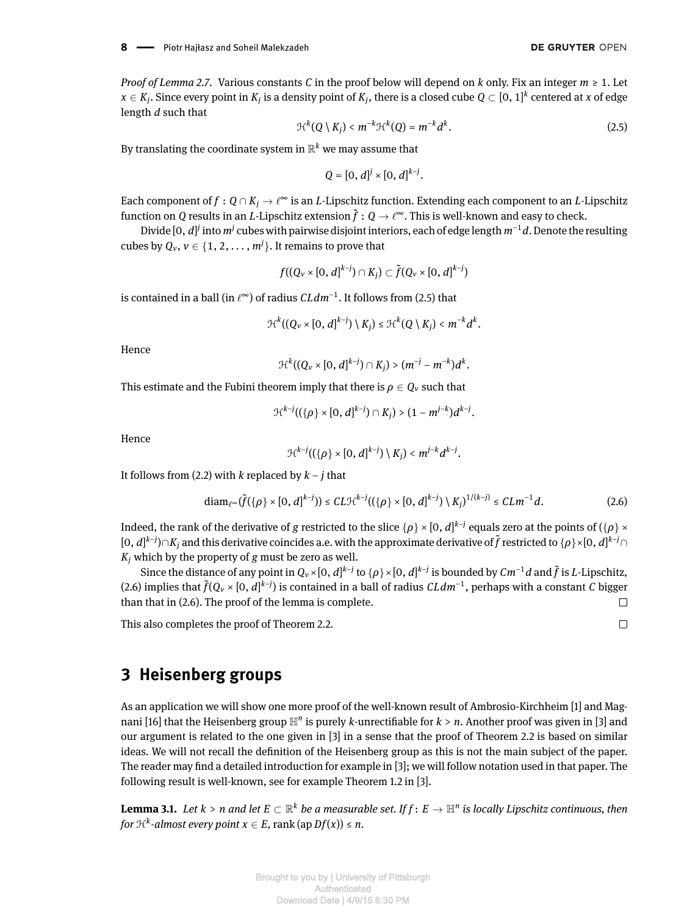*Proof of Lemma [2.7.](#page-6-2)* Various constants *C* in the proof below will depend on *k* only. Fix an integer *m* ≥ 1. Let  $x\in K_j.$  Since every point in  $K_j$  is a density point of  $K_j,$  there is a closed cube  $Q\subset [0,1]^k$  centered at  $x$  of edge length *d* such that

<span id="page-7-1"></span>
$$
\mathcal{H}^k(Q \setminus K_j) < m^{-k} \mathcal{H}^k(Q) = m^{-k} d^k. \tag{2.5}
$$

By translating the coordinate system in  $\mathbb{R}^k$  we may assume that

$$
Q = [0, d]^j \times [0, d]^{k-j}.
$$

Each component of  $f:Q\cap K_j\to\ell^\infty$  is an  $L$ -Lipschitz function. Extending each component to an  $L$ -Lipschitz function on  $Q$  results in an  $L$ -Lipschitz extension  $\tilde{f}:Q\to \ell^\infty.$  This is well-known and easy to check.

Divide [0, *d]<sup>j</sup>* into *m<sup>j</sup> cubes with pairwise disjoint interiors, each of edge length <i>m*<sup>−1</sup>*d*. Denote the resulting cubes by  $Q_v$ ,  $v \in \{1, 2, \ldots, m^j\}$ . It remains to prove that

$$
f((Q_v\times[0,d]^{k-j})\cap K_j)\subset \tilde{f}(Q_v\times[0,d]^{k-j})
$$

is contained in a ball (in  $\ell^\infty$ ) of radius  $\mathcal{C}Ldm^{-1}.$  It follows from [\(2.5\)](#page-7-1) that

$$
\mathcal{H}^k((Q_v\times[0,d]^{k-j})\setminus K_j)\leq \mathcal{H}^k(Q\setminus K_j)
$$

Hence

$$
\mathcal{H}^{k}((Q_{v}\times [0, d]^{k-j})\cap K_{j})\gt (m^{-j}-m^{-k})d^{k}.
$$

This estimate and the Fubini theorem imply that there is  $\rho \in Q_\nu$  such that

$$
\mathcal{H}^{k-j}((\{\rho\}\times[0,d]^{k-j})\cap K_j)>(1-m^{j-k})d^{k-j}.
$$

Hence

<span id="page-7-2"></span>
$$
\mathcal{H}^{k-j}((\{\rho\}\times[0,d]^{k-j})\setminus K_j)< m^{j-k}d^{k-j}.
$$

It follows from [\(2.2\)](#page-4-2) with *k* replaced by *k* − *j* that

$$
\text{diam}_{\ell^{\infty}}(\tilde{f}(\{\rho\}\times[0,d]^{k-j}))\leq CL\mathcal{H}^{k-j}((\{\rho\}\times[0,d]^{k-j})\setminus K_j)^{1/(k-j)}\leq CLm^{-1}d. \tag{2.6}
$$

Indeed, the rank of the derivative of  $g$  restricted to the slice  $\{\rho\}\times[0,d]^{k-j}$  equals zero at the points of  $(\{\rho\}\times$ [0, *d*] *k*−*j* )∩*K<sup>j</sup>* and this derivative coincides a.e. with the approximate derivative of ˜*f* restricted to {*ρ*}×[0, *d*] *<sup>k</sup>*−*j*∩ *K<sup>j</sup>* which by the property of *g* must be zero as well.

Since the distance of any point in  $Q_v\times[0,d]^{k-j}$  to  $\{\rho\}\times[0,d]^{k-j}$  is bounded by  $\mathcal{C}m^{-1}d$  and  $\tilde{f}$  is  $L$ -Lipschitz, [\(2.6\)](#page-7-2) implies that  $\tilde{f}(Q_v\times[0,d]^{k-j})$  is contained in a ball of radius  $CLdm^{-1}$ , perhaps with a constant *C* bigger than that in [\(2.6\)](#page-7-2). The proof of the lemma is complete.  $\Box$ 

This also completes the proof of Theorem [2.2.](#page-3-0)

## <span id="page-7-0"></span>**3 Heisenberg groups**

As an application we will show one more proof of the well-known result of Ambrosio-Kirchheim [\[1\]](#page-13-3) and Mag-nani [\[16\]](#page-13-15) that the Heisenberg group  $\mathbb{H}^n$  is purely *k*-unrectifiable for  $k$  >  $n$ . Another proof was given in [\[3\]](#page-13-11) and our argument is related to the one given in [\[3\]](#page-13-11) in a sense that the proof of Theorem [2.2](#page-3-0) is based on similar ideas. We will not recall the definition of the Heisenberg group as this is not the main subject of the paper. The reader may find a detailed introduction for example in  $[3]$ ; we will follow notation used in that paper. The following result is well-known, see for example Theorem 1.2 in [\[3\]](#page-13-11).

<span id="page-7-3"></span> $L$ emma 3.1. *Let*  $k > n$  *and let*  $E \subset \R^k$  *be a measurable set. If*  $f\colon E \to \R^n$  *is locally Lipschitz continuous, then* for  $\mathcal{H}^k$ -almost every point  $x \in E$ ,  $\text{rank}(\text{ap }Df(x)) \leq n$ .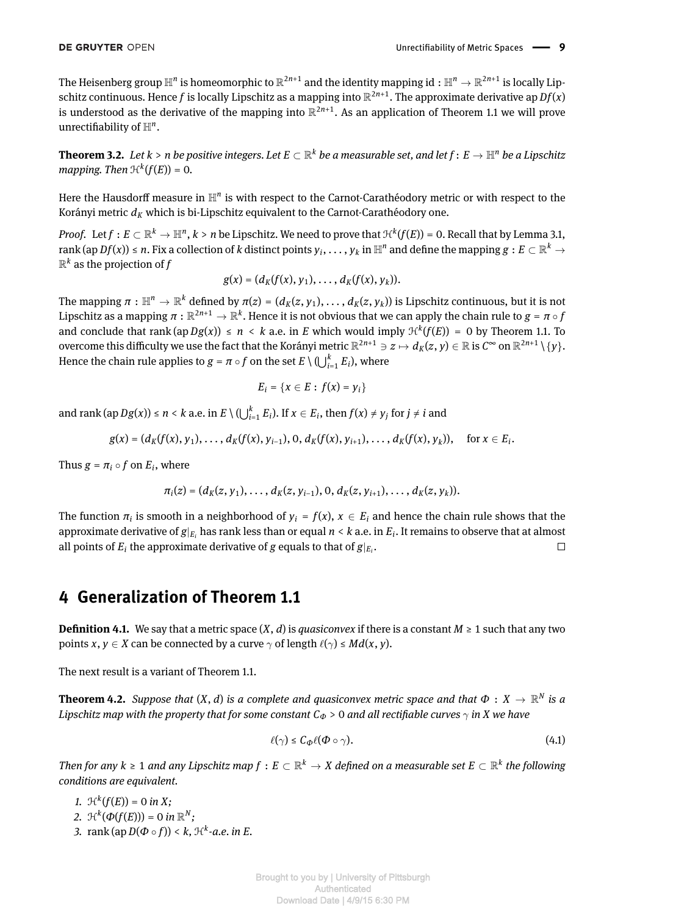The Heisenberg group  $\mathbb{H}^n$  is homeomorphic to  $\R^{2n+1}$  and the identity mapping id  $:\R^n\to\R^{2n+1}$  is locally Lipschitz continuous. Hence  $f$  is locally Lipschitz as a mapping into  $\R^{2n+1}.$  The approximate derivative ap  $Df(x)$ is understood as the derivative of the mapping into  $\mathbb{R}^{2n+1}.$  As an application of Theorem [1.1](#page-1-0) we will prove unrectifiability of  $\mathbb{H}^n$ .

<span id="page-8-0"></span> $\bf{Theorem 3.2.}$  Let  $k > n$  be positive integers. Let  $E \subset \mathbb{R}^k$  be a measurable set, and let  $f\colon E \to \mathbb{H}^n$  be a Lipschitz *mapping. Then*  $\mathcal{H}^k(f(E)) = 0$ .

Here the Hausdorff measure in  $\mathbb{H}^n$  is with respect to the Carnot-Carathéodory metric or with respect to the Korányi metric  $d_K$  which is bi-Lipschitz equivalent to the Carnot-Carathéodory one.

*Proof.* Let  $f: E\subset \R^k\to \R^n, k>n$  be Lipschitz. We need to prove that  $\mathcal{H}^k(f(E))$  = 0. Recall that by Lemma [3.1,](#page-7-3) rank (ap  $Df(x))\le n.$  Fix a collection of  $k$  distinct points  $y_i,\ldots,y_k$  in  $\mathbb{H}^n$  and define the mapping  $g:E\subset\mathbb{R}^k\to\infty$  $\mathbb{R}^k$  as the projection of  $f$ 

$$
g(x)=(d_K(f(x),y_1),\ldots,d_K(f(x),y_k)).
$$

The mapping  $\pi: \mathbb{H}^n\to \mathbb{R}^k$  defined by  $\pi(z)=(d_K(z,y_1),\ldots,d_K(z,y_k))$  is Lipschitz continuous, but it is not Lipschitz as a mapping  $\pi:\R^{2n+1}\to\R^k.$  Hence it is not obvious that we can apply the chain rule to  $g=\pi\circ f$ and conclude that rank  $(ap\,Dg(x)) \leq n \leq k$  a.e. in *E* which would imply  $\mathcal{H}^k(f(E)) = 0$  by Theorem [1.1.](#page-1-0) To overcome this difficulty we use the fact that the Korányi metric  $\R^{2n+1}\ni z\mapsto d_K(z,y)\in\R$  is  $C^\infty$  on  $\R^{2n+1}\setminus\{y\}.$ Hence the chain rule applies to  $g = \pi \circ f$  on the set  $E \setminus (\bigcup_{i=1}^k E_i)$ , where

$$
E_i = \{x \in E : f(x) = y_i\}
$$

and rank (ap  $Dg(x)$ )  $\le n < k$  a.e. in  $E \setminus \left(\bigcup_{i=1}^k E_i\right)$ . If  $x \in E_i$ , then  $f(x) \neq y_j$  for  $j \neq i$  and

$$
g(x) = (d_K(f(x), y_1), \ldots, d_K(f(x), y_{i-1}), 0, d_K(f(x), y_{i+1}), \ldots, d_K(f(x), y_k)), \text{ for } x \in E_i.
$$

Thus  $g = \pi_i \circ f$  on  $E_i$ , where

$$
\pi_i(z)=(d_K(z,y_1),\ldots,d_K(z,y_{i-1}),0,d_K(z,y_{i+1}),\ldots,d_K(z,y_k)).
$$

The function  $\pi_i$  is smooth in a neighborhood of  $y_i = f(x)$ ,  $x \in E_i$  and hence the chain rule shows that the approximate derivative of *g*|*E<sup>i</sup>* has rank less than or equal *n* < *k* a.e. in *E<sup>i</sup>* . It remains to observe that at almost all points of  $E_i$  the approximate derivative of  $g$  equals to that of  $g|_{E_i}$ .  $\Box$ 

#### <span id="page-8-1"></span>**4 Generalization of Theorem [1.1](#page-1-0)**

**Definition 4.1.** We say that a metric space  $(X, d)$  is *quasiconvex* if there is a constant  $M \ge 1$  such that any two points *x*,  $y \in X$  can be connected by a curve  $\gamma$  of length  $\ell(\gamma) \leq Md(x, y)$ .

The next result is a variant of Theorem [1.1.](#page-1-0)

<span id="page-8-2"></span>**Theorem 4.2.** Suppose that  $(X, d)$  is a complete and quasiconvex metric space and that  $\Phi: X \to \mathbb{R}^N$  is a *Lipschitz map with the property that for some constant*  $C_{\Phi}$  > 0 *and all rectifiable curves*  $\gamma$  *in X we have* 

<span id="page-8-3"></span>
$$
\ell(\gamma) \le C_{\mathcal{D}} \ell(\Phi \circ \gamma). \tag{4.1}
$$

*Then for any*  $k \ge 1$  and any Lipschitz map  $f: E \subset \mathbb{R}^k \to X$  defined on a measurable set  $E \subset \mathbb{R}^k$  the following *conditions are equivalent.*

*1.*  $\mathcal{H}^k(f(E)) = 0$  *in X*; 2.  $\mathcal{H}^k(\Phi(f(E))) = 0$  *in*  $\mathbb{R}^N$ ; *3.* rank (ap *D*(*Φ* ◦ *f*)) < *k,* H*<sup>k</sup> -a.e. in E.*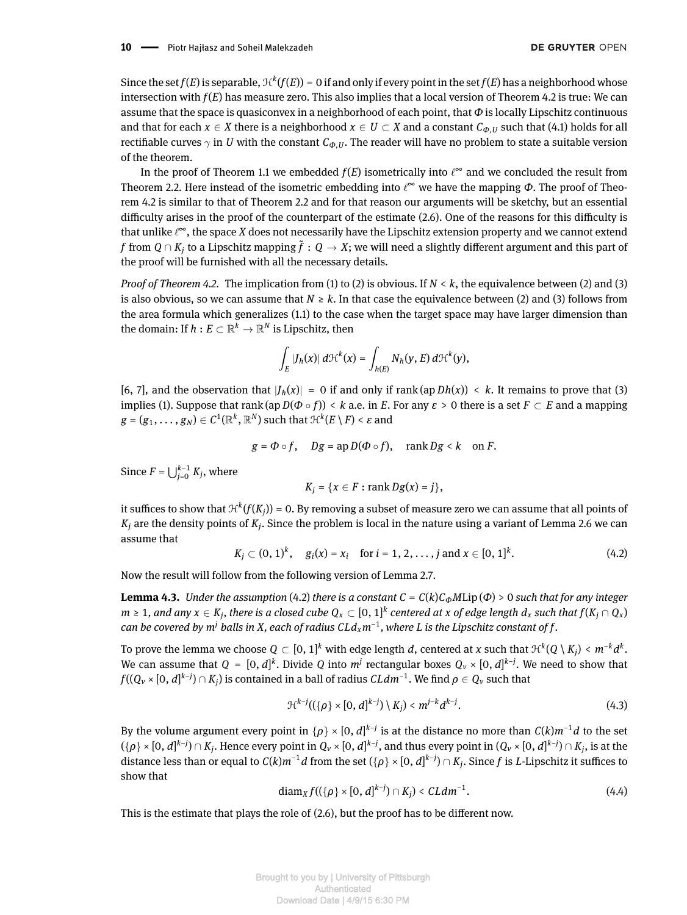Since the set  $f(E)$  is separable,  $\mathcal{H}^k(f(E)) = 0$  if and only if every point in the set  $f(E)$  has a neighborhood whose intersection with *f*(*E*) has measure zero. This also implies that a local version of Theorem [4.2](#page-8-2) is true: We can assume that the space is quasiconvex in a neighborhood of each point, that *Φ* is locally Lipschitz continuous and that for each  $x \in X$  there is a neighborhood  $x \in U \subset X$  and a constant  $C_{\varphi, U}$  such that [\(4.1\)](#page-8-3) holds for all rectifiable curves  $\gamma$  in *U* with the constant  $C_{\phi,U}$ . The reader will have no problem to state a suitable version of the theorem.

In the proof of Theorem [1.1](#page-1-0) we embedded  $f(E)$  isometrically into  $\ell^\infty$  and we concluded the result from Theorem [2.2.](#page-3-0) Here instead of the isometric embedding into  $\ell^\infty$  we have the mapping Φ. The proof of Theorem [4.2](#page-8-2) is similar to that of Theorem [2.2](#page-3-0) and for that reason our arguments will be sketchy, but an essential difficulty arises in the proof of the counterpart of the estimate [\(2.6\)](#page-7-2). One of the reasons for this difficulty is that unlike  $\ell^\infty$ , the space  $X$  does not necessarily have the Lipschitz extension property and we cannot extend  $f$  from  $Q \cap K_j$  to a Lipschitz mapping  $\tilde{f}: Q \to X$ ; we will need a slightly different argument and this part of the proof will be furnished with all the necessary details.

*Proof of Theorem [4.2.](#page-8-2)* The implication from (1) to (2) is obvious. If *N* < *k*, the equivalence between (2) and (3) is also obvious, so we can assume that  $N \ge k$ . In that case the equivalence between (2) and (3) follows from the area formula which generalizes [\(1.1\)](#page-1-1) to the case when the target space may have larger dimension than the domain: If  $h: E \subset \mathbb{R}^k \to \mathbb{R}^N$  is Lipschitz, then

$$
\int_E |J_h(x)|\,d\mathcal{H}^k(x)=\int_{h(E)} N_h(y,E)\,d\mathcal{H}^k(y),
$$

[\[6,](#page-13-7) [7\]](#page-13-1), and the observation that  $|J_h(x)| = 0$  if and only if rank (ap *Dh*(*x*)) < *k*. It remains to prove that (3) implies (1). Suppose that rank (ap  $D(\Phi \circ f)$ ) < *k* a.e. in *E*. For any  $\varepsilon > 0$  there is a set  $F \subset E$  and a mapping  $g = (g_1, \ldots, g_N) \in C^1(\mathbb{R}^k, \mathbb{R}^N)$  such that  $\mathfrak{H}^k(E \setminus F) < \varepsilon$  and

$$
g = \Phi \circ f
$$
,  $Dg = \operatorname{ap} D(\Phi \circ f)$ ,  $\operatorname{rank} Dg < k$  on  $F$ .

Since  $F = \bigcup_{j=0}^{k-1} K_j$ , where

$$
K_j = \{x \in F : \operatorname{rank} Dg(x) = j\},\
$$

it suffices to show that  $\mathfrak{R}^k(f(K_j))$  = 0. By removing a subset of measure zero we can assume that all points of  $K_j$  are the density points of  $K_j.$  Since the problem is local in the nature using a variant of Lemma [2.6](#page-5-0) we can assume that

<span id="page-9-0"></span>
$$
K_j \subset (0, 1)^k
$$
,  $g_i(x) = x_i$  for  $i = 1, 2, ..., j$  and  $x \in [0, 1]^k$ . (4.2)

Now the result will follow from the following version of Lemma [2.7.](#page-6-2)

**Lemma 4.3.** *Under the assumption* [\(4.2\)](#page-9-0) *there is a constant*  $C = C(k)C_{\phi}M$ Lip ( $\Phi$ ) > 0 *such that for any integer* m ≥ 1, and any  $x\in K_j,$  there is a closed cube  $Q_x\subset [0,1]^k$  centered at x of edge length  $d_x$  such that  $f(K_j\cap Q_x)$  $c$ an be covered by  $m^j$  balls in X, each of radius  $CLd_xm^{-1}$ , where  $L$  is the Lipschitz constant of  $f$ .

To prove the lemma we choose  $Q\subset [0,1]^k$  with edge length  $d$ , centered at  $x$  such that  $\mathfrak{H}^k(Q\setminus K_j)< m^{-k}d^k.$ We can assume that  $Q = [0, d]^k$ . Divide  $Q$  into  $m^j$  rectangular boxes  $Q_\nu \times [0, d]^{k-j}$ . We need to show that  $f((Q_v \times [0,d]^{k-j}) \cap K_j)$  is contained in a ball of radius  $\mathcal{C}Ldm^{-1}.$  We find  $\rho \in Q_v$  such that

<span id="page-9-1"></span>
$$
\mathcal{H}^{k-j}((\{\rho\} \times [0, d]^{k-j}) \setminus K_j) < m^{j-k} d^{k-j}.\tag{4.3}
$$

<span id="page-9-2"></span>By the volume argument every point in  $\{\rho\}\times [0,d]^{k-j}$  is at the distance no more than  $C(k)m^{-1}d$  to the set  $(\{\rho\}\times[0,d]^{k-j})\cap K_j.$  Hence every point in  $Q_\nu\times[0,d]^{k-j},$  and thus every point in  $(Q_\nu\times[0,d]^{k-j})\cap K_j,$  is at the distance less than or equal to  $C(k)m^{-1}d$  from the set  $(\{\rho\}\times[0,d]^{k-j})\cap K_j.$  Since  $f$  is  $L$ -Lipschitz it suffices to show that

$$
diam_X f((\{\rho\} \times [0, d]^{k-j}) \cap K_j) < CL dm^{-1}.\tag{4.4}
$$

This is the estimate that plays the role of  $(2.6)$ , but the proof has to be different now.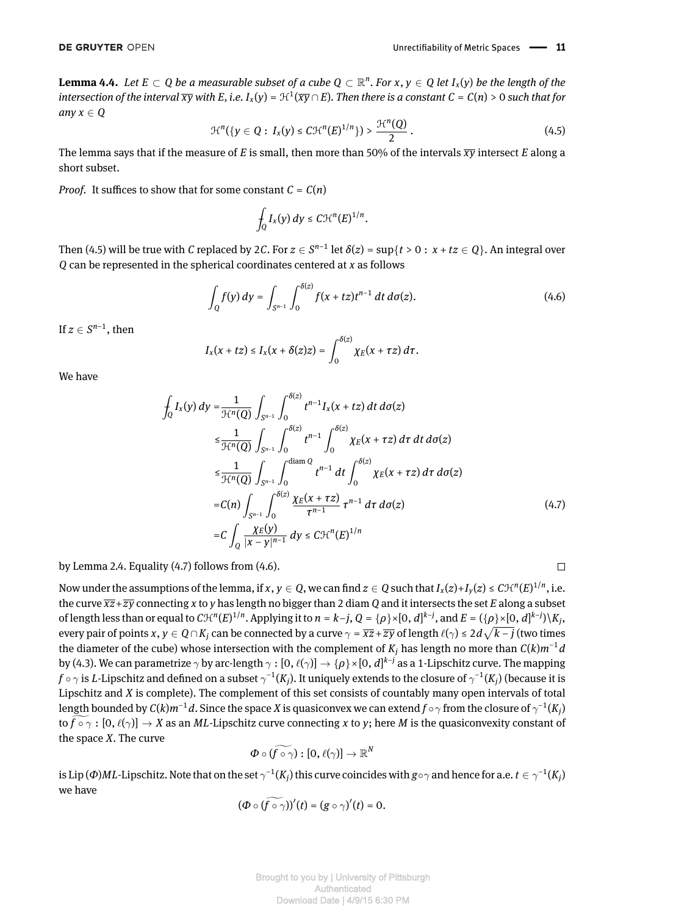<span id="page-10-0"></span>**Lemma 4.4.** Let  $E \subset Q$  be a measurable subset of a cube  $Q \subset \mathbb{R}^n$ . For  $x, y \in Q$  let  $I_x(y)$  be the length of the intersection of the interval  $\overline{xy}$  with E, i.e. I<sub>x</sub>(y) = H<sup>1</sup>( $\overline{xy} \cap E$ ). Then there is a constant C = C(n) > 0 such that for *any*  $x \in Q$ 

$$
\mathcal{H}^{n}(\{y \in Q : I_{x}(y) \le C \mathcal{H}^{n}(E)^{1/n}\}) > \frac{\mathcal{H}^{n}(Q)}{2}.
$$
 (4.5)

The lemma says that if the measure of *E* is small, then more than 50% of the intervals  $\overline{xy}$  intersect *E* along a short subset.

*Proof.* It suffices to show that for some constant  $C = C(n)$ 

<span id="page-10-2"></span>
$$
\int_Q I_x(y)\,dy \leq C \mathcal{H}^n(E)^{1/n}.
$$

Then [\(4.5\)](#page-10-0) will be true with  $C$  replaced by 2 $C$ . For  $z\in S^{n-1}$  let  $\delta(z)$  =  $\sup\{t>0:\,x+tz\in Q\}.$  An integral over *Q* can be represented in the spherical coordinates centered at *x* as follows

$$
\int_{Q} f(y) dy = \int_{S^{n-1}} \int_{0}^{\delta(z)} f(x + tz) t^{n-1} dt d\sigma(z).
$$
 (4.6)

If  $z \in S^{n-1}$ , then

<span id="page-10-1"></span>
$$
I_x(x + tz) \leq I_x(x + \delta(z)z) = \int_0^{\delta(z)} \chi_E(x + \tau z) d\tau.
$$

We have

$$
\int_{Q} I_{x}(y) dy = \frac{1}{\mathcal{H}^{n}(Q)} \int_{S^{n-1}} \int_{0}^{\delta(z)} t^{n-1} I_{x}(x + tz) dt d\sigma(z)
$$
\n
$$
\leq \frac{1}{\mathcal{H}^{n}(Q)} \int_{S^{n-1}} \int_{0}^{\delta(z)} t^{n-1} \int_{0}^{\delta(z)} \chi_{E}(x + \tau z) d\tau dt d\sigma(z)
$$
\n
$$
\leq \frac{1}{\mathcal{H}^{n}(Q)} \int_{S^{n-1}} \int_{0}^{\text{diam } Q} t^{n-1} dt \int_{0}^{\delta(z)} \chi_{E}(x + \tau z) d\tau d\sigma(z)
$$
\n
$$
= C(n) \int_{S^{n-1}} \int_{0}^{\delta(z)} \frac{\chi_{E}(x + \tau z)}{\tau^{n-1}} \tau^{n-1} d\tau d\sigma(z)
$$
\n
$$
= C \int_{Q} \frac{\chi_{E}(y)}{|x - y|^{n-1}} dy \leq C \mathcal{H}^{n}(E)^{1/n}
$$
\n(4.7)

by Lemma [2.4.](#page-4-1) Equality [\(4.7\)](#page-10-1) follows from [\(4.6\)](#page-10-2).

Now under the assumptions of the lemma, if  $x, y \in Q$ , we can find  $z \in Q$  such that  $I_x(z) + I_y(z) \leq C \mathcal{H}^n(E)^{1/n}$ , i.e. the curve  $\overline{xz}+\overline{zy}$  connecting *x* to *y* has length no bigger than 2 diam *Q* and it intersects the set *E* along a subset of length less than or equal to  $C\mathcal{H}^n(E)^{1/n}$ . Applying it to  $n=k-j$ ,  $Q=\{\rho\}\times[0,d]^{k-j}$ , and  $E=(\{\rho\}\times[0,d]^{k-j})\backslash K_j$ , every pair of points  $x,y\in Q\cap K_j$  can be connected by a curve  $\gamma=\overline{xz}+\overline{zy}$  of length  $\ell(\gamma)\leq 2d\sqrt{k-j}$  (two times the diameter of the cube) whose intersection with the complement of  $K_j$  has length no more than  $C(k)m^{-1}d$ by [\(4.3\)](#page-9-1). We can parametrize  $\gamma$  by arc-length  $\gamma:[0,\ell(\gamma)]\to\{\rho\}\times[0,d]^{k-j}$  as a 1-Lipschitz curve. The mapping  $f\circ\gamma$  is  $L$ -Lipschitz and defined on a subset  $\gamma^{-1}(K_j)$ . It uniquely extends to the closure of  $\gamma^{-1}(K_j)$  (because it is Lipschitz and *X* is complete). The complement of this set consists of countably many open intervals of total length bounded by  $C(k)m^{-1}d.$  Since the space  $X$  is quasiconvex we can extend  $f\circ\gamma$  from the closure of  $\gamma^{-1}(K_j)$ to  $\hat{f} \circ \gamma : [0, \ell(\gamma)] \to X$  as an *ML*-Lipschitz curve connecting *x* to *y*; here *M* is the quasiconvexity constant of the space *X*. The curve

$$
\varPhi\circ(\widetilde{f\circ\gamma}):[0,\ell(\gamma)]\to\mathbb{R}^N
$$

is Lip (Φ)ML-Lipschitz. Note that on the set  $\gamma^{-1}(K_j)$  this curve coincides with  $g\circ\gamma$  and hence for a.e.  $t\in\gamma^{-1}(K_j)$ we have

$$
(\Phi\circ(\widetilde{f\circ\gamma}))'(t)=(g\circ\gamma)'(t)=0.
$$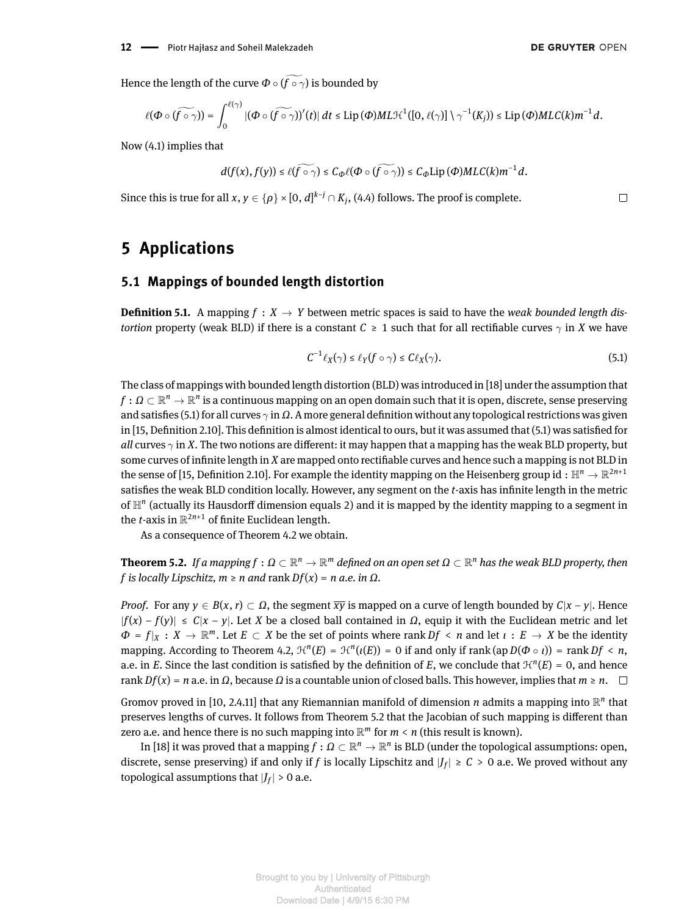Hence the length of the curve  $\Phi \circ (\widetilde{f \circ \gamma})$  is bounded by

$$
\ell(\Phi\circ(\widetilde{f\circ\gamma}))=\int_0^{\ell(\gamma)} |(\Phi\circ(\widetilde{f\circ\gamma})'(t)|\,dt\leq \mathrm{Lip}\,(\Phi)ML\mathcal{H}^1([0,\ell(\gamma)]\setminus\gamma^{-1}(K_j))\leq \mathrm{Lip}\,(\Phi)MLC(k)m^{-1}d.
$$

Now [\(4.1\)](#page-8-3) implies that

$$
d(f(x),f(y))\leq \ell(\widetilde{f\circ \gamma})\leq C_{\varPhi}\ell(\varPhi\circ (\widetilde{f\circ \gamma}))\leq C_{\varPhi}\mathrm{Lip}\,(\varPhi)MLC(k)m^{-1}d.
$$

Since this is true for all  $x, y \in \{\rho\} \times [0,d]^{k-j} \cap K_j$ , [\(4.4\)](#page-9-2) follows. The proof is complete.

## <span id="page-11-0"></span>**5 Applications**

#### **5.1 Mappings of bounded length distortion**

<span id="page-11-1"></span>**Definition 5.1.** A mapping  $f : X \to Y$  between metric spaces is said to have the *weak bounded length distortion* property (weak BLD) if there is a constant  $C \geq 1$  such that for all rectifiable curves  $\gamma$  in *X* we have

$$
C^{-1}\ell_X(\gamma) \le \ell_Y(f \circ \gamma) \le C\ell_X(\gamma). \tag{5.1}
$$

The class of mappings with bounded length distortion (BLD) was introduced in [\[18\]](#page-13-16) under the assumption that  $f:\Omega\subset\mathbb{R}^n\to\mathbb{R}^n$  is a continuous mapping on an open domain such that it is open, discrete, sense preserving and satisfies [\(5.1\)](#page-11-1) for all curves  $\gamma$  in  $\Omega$ . A more general definition without any topological restrictions was given in  $[15,$  Definition 2.10]. This definition is almost identical to ours, but it was assumed that  $(5.1)$  was satisfied for *all* curves  $\gamma$  in *X*. The two notions are different: it may happen that a mapping has the weak BLD property, but some curves of infinite length in *X* are mapped onto rectifiable curves and hence such a mapping is not BLD in the sense of [\[15,](#page-13-17) Definition 2.10]. For example the identity mapping on the Heisenberg group id  $:\mathbb H^n\to\R^{2n+1}$ satisfies the weak BLD condition locally. However, any segment on the *t*-axis has infinite length in the metric of  $\mathbb{H}^n$  (actually its Hausdorff dimension equals 2) and it is mapped by the identity mapping to a segment in the *t*-axis in  $\mathbb{R}^{2n+1}$  of finite Euclidean length.

As a consequence of Theorem [4.2](#page-8-2) we obtain.

<span id="page-11-2"></span> $\bf{Theorem 5.2.}$  If a mapping  $f:\Omega\subset\mathbb{R}^n\to\mathbb{R}^m$  defined on an open set  $\Omega\subset\mathbb{R}^n$  has the weak BLD property, then  $f$  *is locally Lipschitz, m > n and rank*  $Df(x) = n$  *<i>a.e. in*  $\Omega$ *.* 

*Proof.* For any  $\gamma \in B(x, r) \subset \Omega$ , the segment  $\overline{\chi y}$  is mapped on a curve of length bounded by  $C|x - \gamma|$ . Hence  $|f(x) - f(y)| \le C|x - y|$ . Let *X* be a closed ball contained in *Ω*, equip it with the Euclidean metric and let  $\Phi = f|_X : X \to \mathbb{R}^m$ . Let  $E \subset X$  be the set of points where rank  $Df \leq n$  and let  $\iota : E \to X$  be the identity mapping. According to Theorem [4.2,](#page-8-2)  $\mathcal{H}^n(E) = \mathcal{H}^n(\iota(E)) = 0$  if and only if rank (ap  $D(\Phi \circ \iota)$ ) = rank  $Df \leq n$ , a.e. in *E*. Since the last condition is satisfied by the definition of *E*, we conclude that  $\mathcal{H}^n(E) = 0$ , and hence  $rank Df(x) = n$  a.e. in  $\Omega$ , because  $\Omega$  is a countable union of closed balls. This however, implies that  $m \ge n$ .

Gromov proved in [\[10,](#page-13-18) 2.4.11] that any Riemannian manifold of dimension *n* admits a mapping into  $\mathbb{R}^n$  that preserves lengths of curves. It follows from Theorem [5.2](#page-11-2) that the Jacobian of such mapping is different than zero a.e. and hence there is no such mapping into  $\mathbb{R}^m$  for  $m < n$  (this result is known).

In [\[18\]](#page-13-16) it was proved that a mapping  $f:\varOmega\subset\mathbb{R}^n\to\mathbb{R}^n$  is BLD (under the topological assumptions: open, discrete, sense preserving) if and only if  $f$  is locally Lipschitz and  $|J_f| \geq C > 0$  a.e. We proved without any topological assumptions that  $|J_f|>0$  a.e.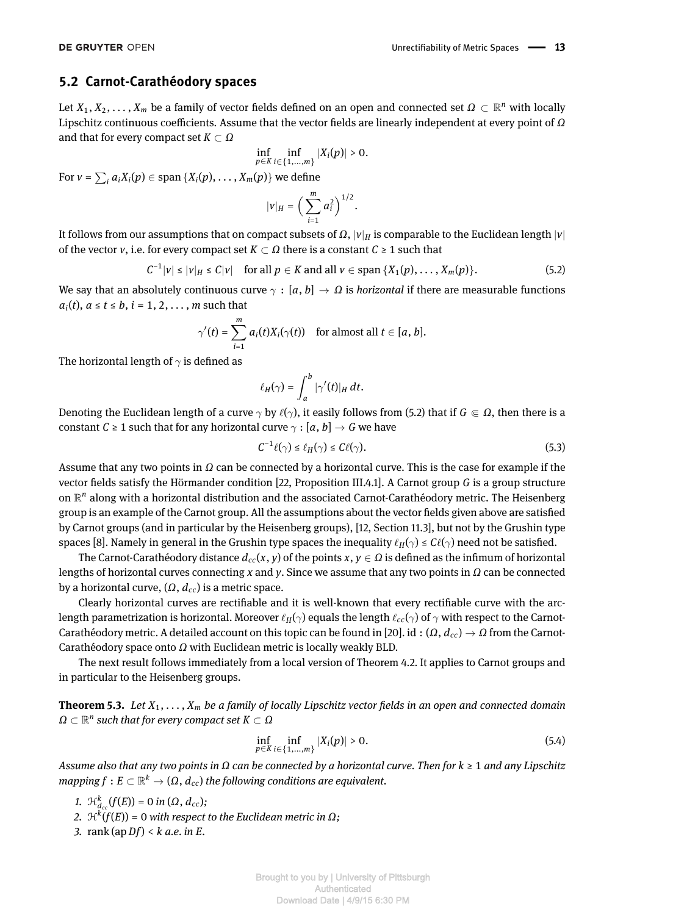#### **5.2 Carnot-Carathéodory spaces**

Let  $X_1, X_2, \ldots, X_m$  be a family of vector fields defined on an open and connected set  $\Omega \subset \mathbb{R}^n$  with locally Lipschitz continuous coefficients. Assume that the vector fields are linearly independent at every point of *Ω* and that for every compact set *K* ⊂ *Ω*

$$
\inf_{p\in K}\inf_{i\in\{1,...,m\}}|X_i(p)|>0.
$$

For  $v = \sum_i a_i X_i(p) \in \text{span} \{X_i(p), \ldots, X_m(p)\}$  we define

<span id="page-12-1"></span>
$$
|v|_H = \bigg(\sum_{i=1}^m a_i^2\bigg)^{1/2}.
$$

It follows from our assumptions that on compact subsets of  $\Omega$ ,  $|v|_H$  is comparable to the Euclidean length  $|v|$ of the vector *v*, i.e. for every compact set  $K \subset \Omega$  there is a constant  $C \geq 1$  such that

$$
C^{-1}|v| \leq |v|_H \leq C|v| \quad \text{for all } p \in K \text{ and all } v \in \text{span }\{X_1(p),\ldots,X_m(p)\}.
$$
 (5.2)

We say that an absolutely continuous curve  $\gamma : [a, b] \to \Omega$  is *horizontal* if there are measurable functions  $a_i(t)$ ,  $a \le t \le b$ ,  $i = 1, 2, \ldots$ , *m* such that

$$
\gamma'(t) = \sum_{i=1}^m a_i(t)X_i(\gamma(t)) \text{ for almost all } t \in [a, b].
$$

The horizontal length of  $\gamma$  is defined as

$$
\ell_H(\gamma)=\int_a^b |\gamma'(t)|_H dt.
$$

Denoting the Euclidean length of a curve  $\gamma$  by  $\ell(\gamma)$ , it easily follows from [\(5.2\)](#page-12-1) that if  $G \in \Omega$ , then there is a constant *C*  $\geq$  1 such that for any horizontal curve  $\gamma$  : [*a*, *b*]  $\rightarrow$  *G* we have

$$
C^{-1}\ell(\gamma) \le \ell_H(\gamma) \le C\ell(\gamma). \tag{5.3}
$$

Assume that any two points in *Ω* can be connected by a horizontal curve. This is the case for example if the vector fields satisfy the Hörmander condition [\[22,](#page-13-19) Proposition III.4.1]. A Carnot group *G* is a group structure on  $\mathbb{R}^n$  along with a horizontal distribution and the associated Carnot-Carathéodory metric. The Heisenberg group is an example of the Carnot group. All the assumptions about the vector fields given above are satisfied by Carnot groups (and in particular by the Heisenberg groups), [\[12,](#page-13-20) Section 11.3], but not by the Grushin type spaces [\[8\]](#page-13-21). Namely in general in the Grushin type spaces the inequality  $\ell_H(\gamma) \leq C\ell(\gamma)$  need not be satisfied.

The Carnot-Carathéodory distance  $d_{cc}(x, y)$  of the points  $x, y \in \Omega$  is defined as the infimum of horizontal lengths of horizontal curves connecting *x* and *y*. Since we assume that any two points in *Ω* can be connected by a horizontal curve, (*Ω*, *dcc*) is a metric space.

Clearly horizontal curves are rectiable and it is well-known that every rectiable curve with the arclength parametrization is horizontal. Moreover  $\ell_H(\gamma)$  equals the length  $\ell_{cc}(\gamma)$  of  $\gamma$  with respect to the Carnot-Carathéodory metric. A detailed account on this topic can be found in [\[20\]](#page-13-22). id : (*Ω*, *dcc*) → *Ω* from the Carnot-Carathéodory space onto *Ω* with Euclidean metric is locally weakly BLD.

The next result follows immediately from a local version of Theorem [4.2.](#page-8-2) It applies to Carnot groups and in particular to the Heisenberg groups.

<span id="page-12-0"></span>**Theorem 5.3.** *Let*  $X_1, \ldots, X_m$  *be a family of locally Lipschitz vector fields in an open and connected domain Ω* ⊂ R *n such that for every compact set K* ⊂ *Ω*

$$
\inf_{p\in K}\inf_{i\in\{1,\ldots,m\}}|X_i(p)|>0.
$$
\n(5.4)

*Assume also that any two points in Ω can be connected by a horizontal curve. Then for k* ≥ 1 *and any Lipschitz*  $m$ apping  $f: E \subset \mathbb{R}^k \to (\Omega, \, d_{cc})$  the following conditions are equivalent.

*1.*  $\mathcal{H}_{d_{cc}}^k(f(E)) = 0$  *in* (Ω,  $d_{cc}$ );

*2.* H*<sup>k</sup>* (*f*(*E*)) = 0 *with respect to the Euclidean metric in Ω;*

*3.* rank (ap *Df*) < *k a.e. in E.*